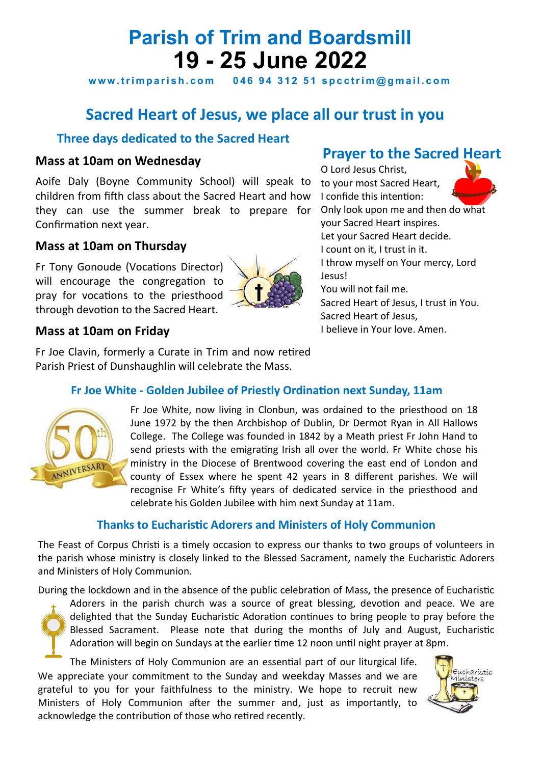# **Parish of Trim and Boardsmill 19 - 25 June 2022**

www.trimparish.com 046 94 312 51 spcctrim@gmail.com

# **Sacred Heart of Jesus, we place all our trust in you**

# **Three days dedicated to the Sacred Heart**

### **Mass at 10am on Wednesday**

Aoife Daly (Boyne Community School) will speak to children from fifth class about the Sacred Heart and how they can use the summer break to prepare for Confirmation next year.

# **Mass at 10am on Thursday**

Fr Tony Gonoude (Vocations Director) will encourage the congregation to pray for vocations to the priesthood through devotion to the Sacred Heart.



# **Prayer to the Sacred Heart**

O Lord Jesus Christ, to your most Sacred Heart, I confide this intention: Only look upon me and then do what your Sacred Heart inspires. Let your Sacred Heart decide. I count on it, I trust in it. I throw myself on Your mercy, Lord Jesus! You will not fail me. Sacred Heart of Jesus, I trust in You. Sacred Heart of Jesus, I believe in Your love. Amen.

# **Mass at 10am on Friday**

Fr Joe Clavin, formerly a Curate in Trim and now retired Parish Priest of Dunshaughlin will celebrate the Mass.

## **Fr Joe White - Golden Jubilee of Priestly Ordination next Sunday, 11am**



Fr Joe White, now living in Clonbun, was ordained to the priesthood on 18 June 1972 by the then Archbishop of Dublin, Dr Dermot Ryan in All Hallows College. The College was founded in 1842 by a Meath priest Fr John Hand to send priests with the emigrating Irish all over the world. Fr White chose his ministry in the Diocese of Brentwood covering the east end of London and county of Essex where he spent 42 years in 8 different parishes. We will recognise Fr White's fifty years of dedicated service in the priesthood and celebrate his Golden Jubilee with him next Sunday at 11am.

## **Thanks to Eucharistic Adorers and Ministers of Holy Communion**

The Feast of Corpus Christi is a timely occasion to express our thanks to two groups of volunteers in the parish whose ministry is closely linked to the Blessed Sacrament, namely the Eucharistic Adorers and Ministers of Holy Communion.

During the lockdown and in the absence of the public celebration of Mass, the presence of Eucharistic

Adorers in the parish church was a source of great blessing, devotion and peace. We are delighted that the Sunday Eucharistic Adoration continues to bring people to pray before the Blessed Sacrament. Please note that during the months of July and August, Eucharistic Adoration will begin on Sundays at the earlier time 12 noon until night prayer at 8pm.

The Ministers of Holy Communion are an essential part of our liturgical life. We appreciate your commitment to the Sunday and weekday Masses and we are grateful to you for your faithfulness to the ministry. We hope to recruit new Ministers of Holy Communion after the summer and, just as importantly, to acknowledge the contribution of those who retired recently.